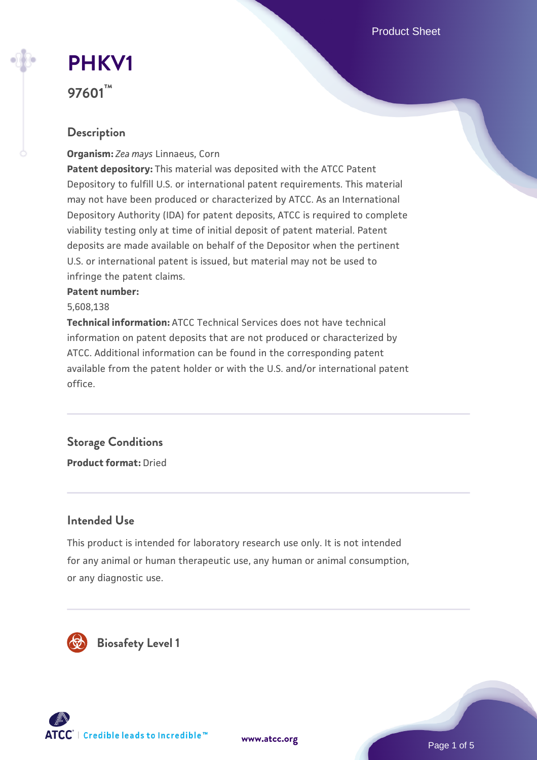Product Sheet

# **[PHKV1](https://www.atcc.org/products/97601) 97601™**

# **Description**

**Organism:** *Zea mays* Linnaeus, Corn

**Patent depository:** This material was deposited with the ATCC Patent Depository to fulfill U.S. or international patent requirements. This material may not have been produced or characterized by ATCC. As an International Depository Authority (IDA) for patent deposits, ATCC is required to complete viability testing only at time of initial deposit of patent material. Patent deposits are made available on behalf of the Depositor when the pertinent U.S. or international patent is issued, but material may not be used to infringe the patent claims.

#### **Patent number:**

5,608,138

**Technical information:** ATCC Technical Services does not have technical information on patent deposits that are not produced or characterized by ATCC. Additional information can be found in the corresponding patent available from the patent holder or with the U.S. and/or international patent office.

# **Storage Conditions**

**Product format:** Dried

# **Intended Use**

This product is intended for laboratory research use only. It is not intended for any animal or human therapeutic use, any human or animal consumption, or any diagnostic use.



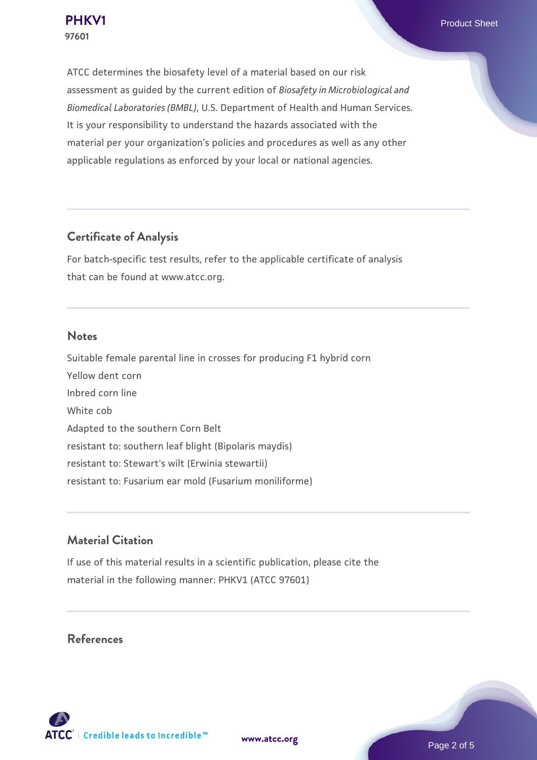ATCC determines the biosafety level of a material based on our risk assessment as guided by the current edition of *Biosafety in Microbiological and Biomedical Laboratories (BMBL)*, U.S. Department of Health and Human Services. It is your responsibility to understand the hazards associated with the material per your organization's policies and procedures as well as any other applicable regulations as enforced by your local or national agencies.

## **Certificate of Analysis**

For batch-specific test results, refer to the applicable certificate of analysis that can be found at www.atcc.org.

#### **Notes**

Suitable female parental line in crosses for producing F1 hybrid corn Yellow dent corn Inbred corn line White cob Adapted to the southern Corn Belt resistant to: southern leaf blight (Bipolaris maydis) resistant to: Stewart's wilt (Erwinia stewartii) resistant to: Fusarium ear mold (Fusarium moniliforme)

# **Material Citation**

If use of this material results in a scientific publication, please cite the material in the following manner: PHKV1 (ATCC 97601)

#### **References**



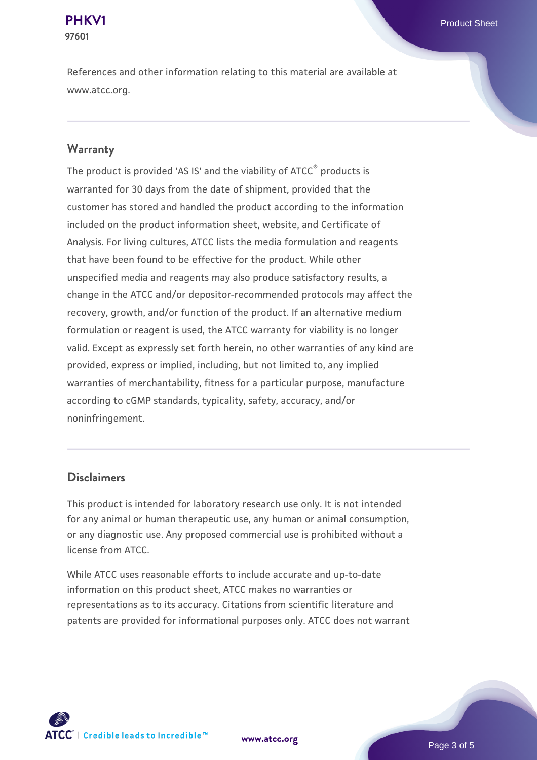# **97601**

References and other information relating to this material are available at www.atcc.org.

### **Warranty**

The product is provided 'AS IS' and the viability of ATCC® products is warranted for 30 days from the date of shipment, provided that the customer has stored and handled the product according to the information included on the product information sheet, website, and Certificate of Analysis. For living cultures, ATCC lists the media formulation and reagents that have been found to be effective for the product. While other unspecified media and reagents may also produce satisfactory results, a change in the ATCC and/or depositor-recommended protocols may affect the recovery, growth, and/or function of the product. If an alternative medium formulation or reagent is used, the ATCC warranty for viability is no longer valid. Except as expressly set forth herein, no other warranties of any kind are provided, express or implied, including, but not limited to, any implied warranties of merchantability, fitness for a particular purpose, manufacture according to cGMP standards, typicality, safety, accuracy, and/or noninfringement.

#### **Disclaimers**

This product is intended for laboratory research use only. It is not intended for any animal or human therapeutic use, any human or animal consumption, or any diagnostic use. Any proposed commercial use is prohibited without a license from ATCC.

While ATCC uses reasonable efforts to include accurate and up-to-date information on this product sheet, ATCC makes no warranties or representations as to its accuracy. Citations from scientific literature and patents are provided for informational purposes only. ATCC does not warrant



**[www.atcc.org](http://www.atcc.org)**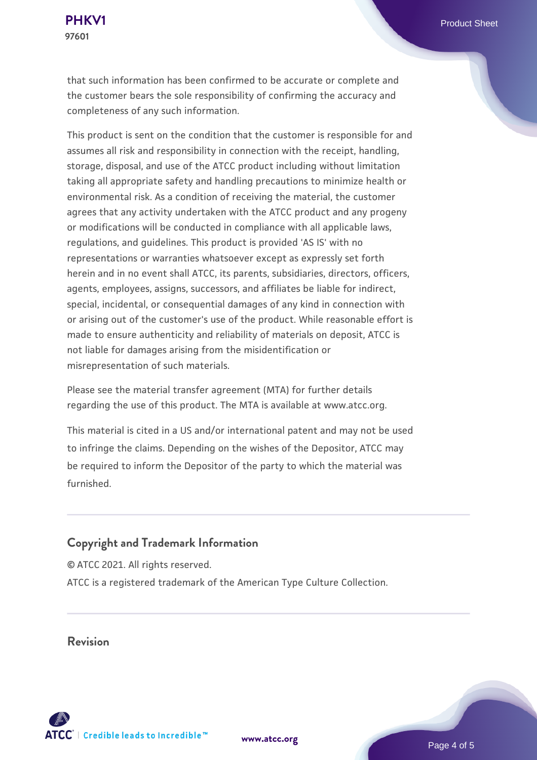that such information has been confirmed to be accurate or complete and the customer bears the sole responsibility of confirming the accuracy and completeness of any such information.

This product is sent on the condition that the customer is responsible for and assumes all risk and responsibility in connection with the receipt, handling, storage, disposal, and use of the ATCC product including without limitation taking all appropriate safety and handling precautions to minimize health or environmental risk. As a condition of receiving the material, the customer agrees that any activity undertaken with the ATCC product and any progeny or modifications will be conducted in compliance with all applicable laws, regulations, and guidelines. This product is provided 'AS IS' with no representations or warranties whatsoever except as expressly set forth herein and in no event shall ATCC, its parents, subsidiaries, directors, officers, agents, employees, assigns, successors, and affiliates be liable for indirect, special, incidental, or consequential damages of any kind in connection with or arising out of the customer's use of the product. While reasonable effort is made to ensure authenticity and reliability of materials on deposit, ATCC is not liable for damages arising from the misidentification or misrepresentation of such materials.

Please see the material transfer agreement (MTA) for further details regarding the use of this product. The MTA is available at www.atcc.org.

This material is cited in a US and/or international patent and may not be used to infringe the claims. Depending on the wishes of the Depositor, ATCC may be required to inform the Depositor of the party to which the material was furnished.

#### **Copyright and Trademark Information**

© ATCC 2021. All rights reserved. ATCC is a registered trademark of the American Type Culture Collection.

**Revision**